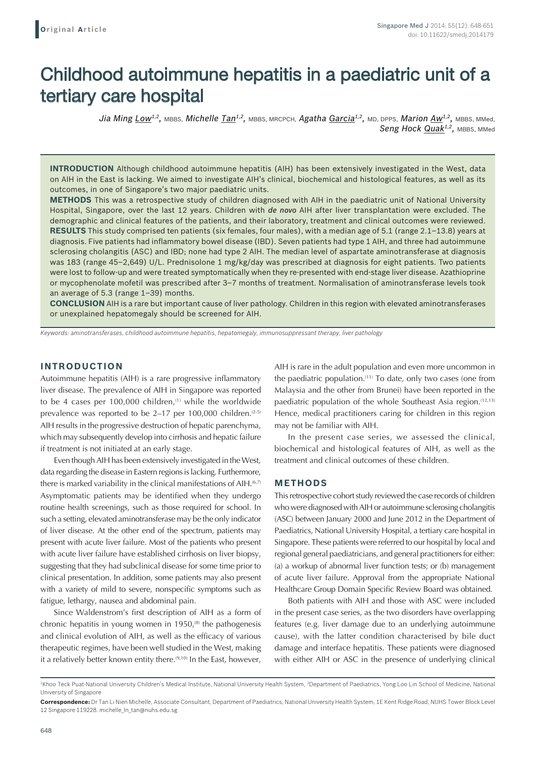# Childhood autoimmune hepatitis in a paediatric unit of a tertiary care hospital

Jia Ming Low<sup>1,2</sup>, MBBS, Michelle Tan<sup>1,2</sup>, MBBS, MRCPCH, Agatha Garcia<sup>1,2</sup>, MD, DPPS, Marion Aw<sup>1,2</sup>, MBBS, MMed, Seng Hock Quak<sup>1,2</sup>, MBBS, MMed

**INTRODUCTION** Although childhood autoimmune hepatitis (AIH) has been extensively investigated in the West, data on AIH in the East is lacking. We aimed to investigate AIH's clinical, biochemical and histological features, as well as its outcomes, in one of Singapore's two major paediatric units.

**METHODS** This was a retrospective study of children diagnosed with AIH in the paediatric unit of National University Hospital, Singapore, over the last 12 years. Children with *de novo* AIH after liver transplantation were excluded. The demographic and clinical features of the patients, and their laboratory, treatment and clinical outcomes were reviewed. **RESULTS** This study comprised ten patients (six females, four males), with a median age of 5.1 (range 2.1–13.8) years at diagnosis. Five patients had inflammatory bowel disease (IBD). Seven patients had type 1 AIH, and three had autoimmune sclerosing cholangitis (ASC) and IBD; none had type 2 AIH. The median level of aspartate aminotransferase at diagnosis was 183 (range 45–2,649) U/L. Prednisolone 1 mg/kg/day was prescribed at diagnosis for eight patients. Two patients were lost to follow-up and were treated symptomatically when they re-presented with end-stage liver disease. Azathioprine or mycophenolate mofetil was prescribed after 3–7 months of treatment. Normalisation of aminotransferase levels took an average of 5.3 (range 1–39) months.

**CONCLUSION** AIH is a rare but important cause of liver pathology. Children in this region with elevated aminotransferases or unexplained hepatomegaly should be screened for AIH.

*Keywords: aminotransferases, childhood autoimmune hepatitis, hepatomegaly, immunosuppressant therapy, liver pathology*

# **INTRODUCTION**

Autoimmune hepatitis (AIH) is a rare progressive inflammatory liver disease. The prevalence of AIH in Singapore was reported to be 4 cases per  $100,000$  children,<sup>(1)</sup> while the worldwide prevalence was reported to be  $2-17$  per 100,000 children.<sup> $(2-5)$ </sup> AIH results in the progressive destruction of hepatic parenchyma, which may subsequently develop into cirrhosis and hepatic failure if treatment is not initiated at an early stage.

Even though AIH has been extensively investigated in the West, data regarding the disease in Eastern regions is lacking. Furthermore, there is marked variability in the clinical manifestations of AIH.<sup>(6,7)</sup> Asymptomatic patients may be identified when they undergo routine health screenings, such as those required for school. In such a setting, elevated aminotransferase may be the only indicator of liver disease. At the other end of the spectrum, patients may present with acute liver failure. Most of the patients who present with acute liver failure have established cirrhosis on liver biopsy, suggesting that they had subclinical disease for some time prior to clinical presentation. In addition, some patients may also present with a variety of mild to severe, nonspecific symptoms such as fatigue, lethargy, nausea and abdominal pain.

Since Waldenstrom's first description of AIH as a form of chronic hepatitis in young women in  $1950<sub>1</sub>$ <sup>(8)</sup> the pathogenesis and clinical evolution of AIH, as well as the efficacy of various therapeutic regimes, have been well studied in the West, making it a relatively better known entity there.<sup>(9,10)</sup> In the East, however, AIH is rare in the adult population and even more uncommon in the paediatric population.<sup>(11)</sup> To date, only two cases (one from Malaysia and the other from Brunei) have been reported in the paediatric population of the whole Southeast Asia region.<sup>(12,13)</sup> Hence, medical practitioners caring for children in this region may not be familiar with AIH.

In the present case series, we assessed the clinical, biochemical and histological features of AIH, as well as the treatment and clinical outcomes of these children.

# **METHODS**

This retrospective cohort study reviewed the case records of children who were diagnosed with AIH or autoimmune sclerosing cholangitis (ASC) between January 2000 and June 2012 in the Department of Paediatrics, National University Hospital, a tertiary care hospital in Singapore. These patients were referred to our hospital by local and regional general paediatricians, and general practitioners for either: (a) a workup of abnormal liver function tests; or (b) management of acute liver failure. Approval from the appropriate National Healthcare Group Domain Specific Review Board was obtained.

Both patients with AIH and those with ASC were included in the present case series, as the two disorders have overlapping features (e.g. liver damage due to an underlying autoimmune cause), with the latter condition characterised by bile duct damage and interface hepatitis. These patients were diagnosed with either AIH or ASC in the presence of underlying clinical

<sup>&</sup>lt;sup>1</sup>Khoo Teck Puat-National University Children's Medical Institute, National University Health System, <sup>2</sup>Department of Paediatrics, Yong Loo Lin School of Medicine, National University of Singapore

**Correspondence:** Dr Tan Li Nien Michelle, Associate Consultant, Department of Paediatrics, National University Health System, 1E Kent Ridge Road, NUHS Tower Block Level 12 Singapore 119228. michelle\_ln\_tan@nuhs.edu.sg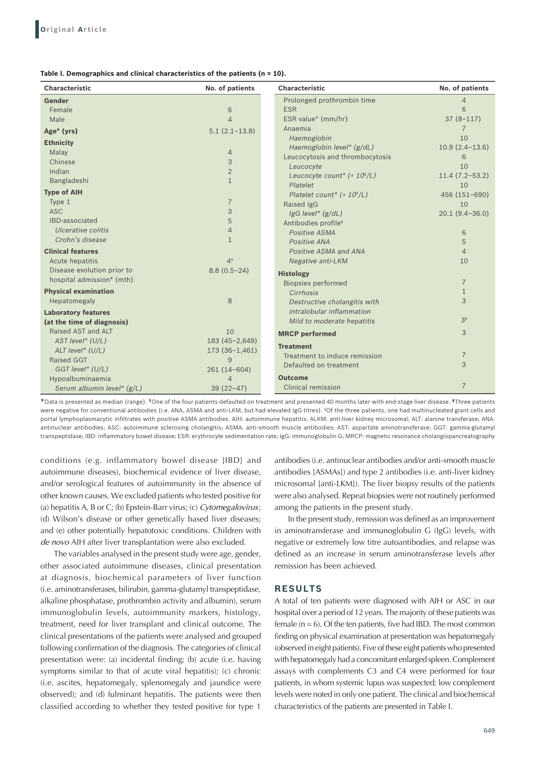|  |  |  | Table I. Demographics and clinical characteristics of the patients ( $n = 10$ ). |  |  |  |  |  |
|--|--|--|----------------------------------------------------------------------------------|--|--|--|--|--|
|--|--|--|----------------------------------------------------------------------------------|--|--|--|--|--|

| <b>Characteristic</b>        | No. of patients          | <b>Characteristic</b>           | No. of patients    |
|------------------------------|--------------------------|---------------------------------|--------------------|
| Gender                       |                          | Prolonged prothrombin time      | 4                  |
| Female                       | 6                        | <b>ESR</b>                      | 6                  |
| Male                         | $\overline{4}$           | ESR value* (mm/hr)              | $37(8-117)$        |
| Age* (yrs)                   | $5.1(2.1-13.8)$          | Anaemia                         | 7                  |
| <b>Ethnicity</b>             |                          | Haemoglobin                     | 10                 |
| Malay                        | $\overline{4}$           | Haemoglobin level* (g/dL)       | $10.9(2.4-13.6)$   |
| Chinese                      | 3                        | Leucocytosis and thrombocytosis | 6                  |
| Indian                       | $\overline{2}$           | Leucocyte                       | 10                 |
| Bangladeshi                  | $\mathbf{1}$             | Leucocyte count* $(x 10^9/L)$   | $11.4(7.2 - 53.2)$ |
|                              |                          | Platelet                        | 10                 |
| <b>Type of AIH</b>           |                          | Platelet count* (× 109/L)       | 456 (151-690)      |
| Type 1                       | $\overline{7}$           | Raised IgG                      | 10                 |
| <b>ASC</b><br>IBD-associated | 3                        | $lgG$ level* $(g/dL)$           | $20.1(9.4 - 36.0)$ |
| Ulcerative colitis           | 5                        | Antibodies profile*             |                    |
|                              | 4                        | Positive ASMA                   | 6                  |
| Crohn's disease              | $\mathbf{1}$             | Positive ANA                    | 5                  |
| <b>Clinical features</b>     |                          | Positive ASMA and ANA           | $\overline{4}$     |
| Acute hepatitis              | 4 <sup>†</sup>           | Negative anti-LKM               | 10                 |
| Disease evolution prior to   | $8.8(0.5-24)$            | <b>Histology</b>                |                    |
| hospital admission* (mth)    |                          | <b>Biopsies performed</b>       | $\overline{7}$     |
| <b>Physical examination</b>  |                          | Cirrhosis                       | $\mathbf{1}$       |
| Hepatomegaly                 | 8                        | Destructive cholangitis with    | 3                  |
| <b>Laboratory features</b>   |                          | intralobular inflammation       |                    |
| (at the time of diagnosis)   |                          | Mild to moderate hepatitis      | 3 <sup>§</sup>     |
| Raised AST and ALT           | 10                       | <b>MRCP</b> performed           | 3                  |
| AST level* (U/L)             | 183 (45-2,649)           |                                 |                    |
| ALT level* (U/L)             | $173(36-1,461)$          | <b>Treatment</b>                |                    |
| Raised GGT                   | 9                        | Treatment to induce remission   | $\overline{7}$     |
| GGT level* (U/L)             | 261 (14-604)             | Defaulted on treatment          | 3                  |
| Hypoalbuminaemia             | $\overline{\mathcal{L}}$ | <b>Outcome</b>                  |                    |
| Serum albumin level* (g/L)   | $39(22 - 47)$            | Clinical remission              | $\overline{7}$     |

\*Data is presented as median (range). †One of the four patients defaulted on treatment and presented 40 months later with end-stage liver disease. ‡Three patients were negative for conventional antibodies (i.e. ANA, ASMA and anti-LKM, but had elevated IgG titres). §Of the three patients, one had multinucleated giant cells and portal lymphoplasmacytic infiltrates with positive ASMA antibodies. AIH: autoimmune hepatitis; ALKM: anti-liver kidney microsomal; ALT: alanine transferase; ANA: antinuclear antibodies; ASC: autoimmune sclerosing cholangitis; ASMA: anti-smooth muscle antibodies; AST: aspartate aminotransferase; GGT: gamma-glutamyl transpeptidase; IBD: inflammatory bowel disease; ESR: erythrocyte sedimentation rate; IgG: immunoglobulin G; MRCP: magnetic resonance cholangiopancreatography

conditions (e.g. inflammatory bowel disease [IBD] and autoimmune diseases), biochemical evidence of liver disease, and/or serological features of autoimmunity in the absence of other known causes. We excluded patients who tested positive for (a) hepatitis A, B or C; (b) Epstein-Barr virus; (c) *Cytomegalovirus*; (d) Wilson's disease or other genetically based liver diseases; and (e) other potentially hepatotoxic conditions. Children with *de novo* AIH after liver transplantation were also excluded.

The variables analysed in the present study were age, gender, other associated autoimmune diseases, clinical presentation at diagnosis, biochemical parameters of liver function (i.e. aminotransferases, bilirubin, gamma-glutamyl transpeptidase, alkaline phosphatase, prothrombin activity and albumin), serum immunoglobulin levels, autoimmunity markers, histology, treatment, need for liver transplant and clinical outcome. The clinical presentations of the patients were analysed and grouped following confirmation of the diagnosis. The categories of clinical presentation were: (a) incidental finding; (b) acute (i.e. having symptoms similar to that of acute viral hepatitis); (c) chronic (i.e. ascites, hepatomegaly, splenomegaly and jaundice were observed); and (d) fulminant hepatitis. The patients were then classified according to whether they tested positive for type 1

antibodies (i.e. antinuclear antibodies and/or anti-smooth muscle antibodies [ASMAs]) and type 2 antibodies (i.e. anti-liver kidney microsomal [anti-LKM]). The liver biopsy results of the patients were also analysed. Repeat biopsies were not routinely performed among the patients in the present study.

In the present study, remission was defined as an improvement in aminotransferase and immunoglobulin G (IgG) levels, with negative or extremely low titre autoantibodies, and relapse was defined as an increase in serum aminotransferase levels after remission has been achieved.

## **RESULTS**

A total of ten patients were diagnosed with AIH or ASC in our hospital over a period of 12 years. The majority of these patients was female  $(n = 6)$ . Of the ten patients, five had IBD. The most common finding on physical examination at presentation was hepatomegaly (observed in eight patients). Five of these eight patients who presented with hepatomegaly had a concomitant enlarged spleen. Complement assays with complements C3 and C4 were performed for four patients, in whom systemic lupus was suspected; low complement levels were noted in only one patient. The clinical and biochemical characteristics of the patients are presented in Table I.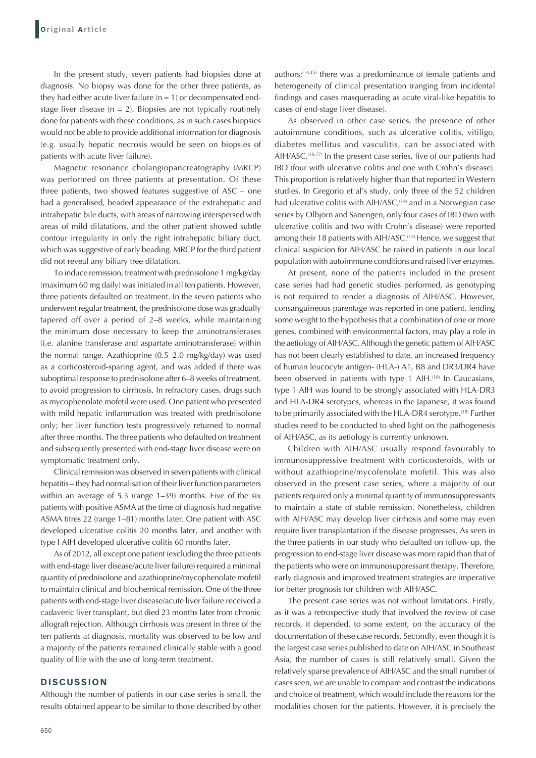In the present study, seven patients had biopsies done at diagnosis. No biopsy was done for the other three patients, as they had either acute liver failure  $(n = 1)$  or decompensated endstage liver disease  $(n = 2)$ . Biopsies are not typically routinely done for patients with these conditions, as in such cases biopsies would not be able to provide additional information for diagnosis (e.g. usually hepatic necrosis would be seen on biopsies of patients with acute liver failure).

Magnetic resonance cholangiopancreatography (MRCP) was performed on three patients at presentation. Of these three patients, two showed features suggestive of ASC – one had a generalised, beaded appearance of the extrahepatic and intrahepatic bile ducts, with areas of narrowing interspersed with areas of mild dilatations, and the other patient showed subtle contour irregularity in only the right intrahepatic biliary duct, which was suggestive of early beading. MRCP for the third patient did not reveal any biliary tree dilatation.

To induce remission, treatment with prednisolone 1 mg/kg/day (maximum 60 mg daily) was initiated in all ten patients. However, three patients defaulted on treatment. In the seven patients who underwent regular treatment, the prednisolone dose was gradually tapered off over a period of 2–8 weeks, while maintaining the minimum dose necessary to keep the aminotransferases (i.e. alanine transferase and aspartate aminotransferase) within the normal range. Azathioprine (0.5–2.0 mg/kg/day) was used as a corticosteroid-sparing agent, and was added if there was suboptimal response to prednisolone after 6–8 weeks of treatment, to avoid progression to cirrhosis. In refractory cases, drugs such as mycophenolate mofetil were used. One patient who presented with mild hepatic inflammation was treated with prednisolone only; her liver function tests progressively returned to normal after three months. The three patients who defaulted on treatment and subsequently presented with end-stage liver disease were on symptomatic treatment only.

Clinical remission was observed in seven patients with clinical hepatitis – they had normalisation of their liver function parameters within an average of 5.3 (range 1–39) months. Five of the six patients with positive ASMA at the time of diagnosis had negative ASMA titres 22 (range 1–81) months later. One patient with ASC developed ulcerative colitis 20 months later, and another with type I AIH developed ulcerative colitis 60 months later.

As of 2012, all except one patient (excluding the three patients with end-stage liver disease/acute liver failure) required a minimal quantity of prednisolone and azathioprine/mycophenolate mofetil to maintain clinical and biochemical remission. One of the three patients with end-stage liver disease/acute liver failure received a cadaveric liver transplant, but died 23 months later from chronic allograft rejection. Although cirrhosis was present in three of the ten patients at diagnosis, mortality was observed to be low and a majority of the patients remained clinically stable with a good quality of life with the use of long-term treatment.

### **DISCUSSION**

Although the number of patients in our case series is small, the results obtained appear to be similar to those described by other authors;(14,15) there was a predominance of female patients and heterogeneity of clinical presentation (ranging from incidental findings and cases masquerading as acute viral-like hepatitis to cases of end-stage liver disease).

As observed in other case series, the presence of other autoimmune conditions, such as ulcerative colitis, vitiligo, diabetes mellitus and vasculitis, can be associated with AIH/ASC.<sup>(16,17)</sup> In the present case series, five of our patients had IBD (four with ulcerative colitis and one with Crohn's disease). This proportion is relatively higher than that reported in Western studies. In Gregorio et al's study, only three of the 52 children had ulcerative colitis with AIH/ASC,<sup>(14)</sup> and in a Norwegian case series by Olbjorn and Sanengen, only four cases of IBD (two with ulcerative colitis and two with Crohn's disease) were reported among their 18 patients with AIH/ASC.<sup>(15)</sup> Hence, we suggest that clinical suspicion for AIH/ASC be raised in patients in our local population with autoimmune conditions and raised liver enzymes.

At present, none of the patients included in the present case series had had genetic studies performed, as genotyping is not required to render a diagnosis of AIH/ASC. However, consanguineous parentage was reported in one patient, lending some weight to the hypothesis that a combination of one or more genes, combined with environmental factors, may play a role in the aetiology of AIH/ASC. Although the genetic pattern of AIH/ASC has not been clearly established to date, an increased frequency of human leucocyte antigen- (HLA-) A1, B8 and DR3/DR4 have been observed in patients with type 1 AIH.<sup>(18)</sup> In Caucasians, type 1 AIH was found to be strongly associated with HLA-DR3 and HLA-DR4 serotypes, whereas in the Japanese, it was found to be primarily associated with the HLA-DR4 serotype.<sup>(19)</sup> Further studies need to be conducted to shed light on the pathogenesis of AIH/ASC, as its aetiology is currently unknown.

Children with AIH/ASC usually respond favourably to immunosuppressive treatment with corticosteroids, with or without azathioprine/mycofenolate mofetil. This was also observed in the present case series, where a majority of our patients required only a minimal quantity of immunosuppressants to maintain a state of stable remission. Nonetheless, children with AIH/ASC may develop liver cirrhosis and some may even require liver transplantation if the disease progresses. As seen in the three patients in our study who defaulted on follow-up, the progression to end-stage liver disease was more rapid than that of the patients who were on immunosuppressant therapy. Therefore, early diagnosis and improved treatment strategies are imperative for better prognosis for children with AIH/ASC.

The present case series was not without limitations. Firstly, as it was a retrospective study that involved the review of case records, it depended, to some extent, on the accuracy of the documentation of these case records. Secondly, even though it is the largest case series published to date on AIH/ASC in Southeast Asia, the number of cases is still relatively small. Given the relatively sparse prevalence of AIH/ASC and the small number of cases seen, we are unable to compare and contrast the indications and choice of treatment, which would include the reasons for the modalities chosen for the patients. However, it is precisely the